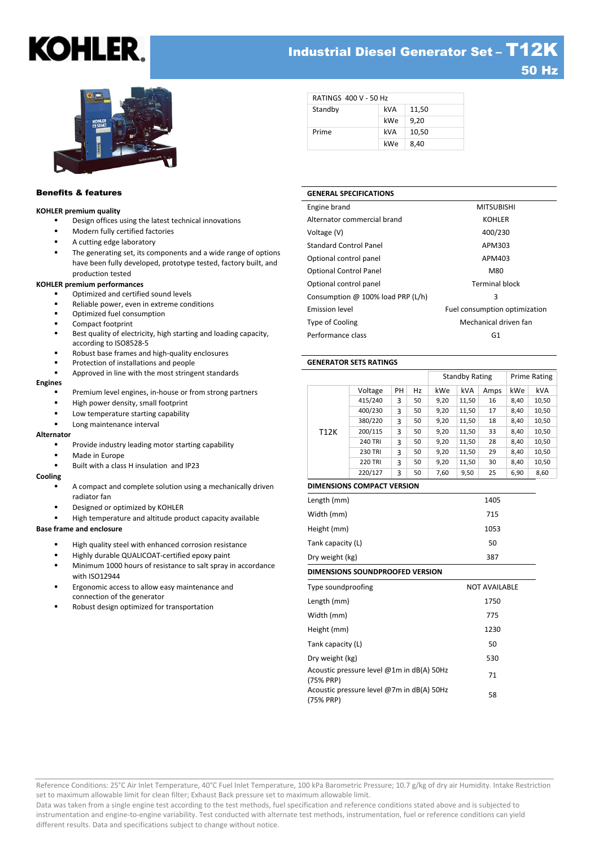## Industrial Diesel Generator Set – T12K 50 Hz



## Benefits & features

#### **KOHLER premium quality**

- Design offices using the latest technical innovations
- Modern fully certified factories
- A cutting edge laboratory
- The generating set, its components and a wide range of options have been fully developed, prototype tested, factory built, and production tested

#### **KOHLER premium performances**

- Optimized and certified sound levels
- Reliable power, even in extreme conditions
- Optimized fuel consumption
- Compact footprint
- Best quality of electricity, high starting and loading capacity, according to ISO8528-5
- Robust base frames and high-quality enclosures
- Protection of installations and people
- Approved in line with the most stringent standards

#### **Engines**

- Premium level engines, in-house or from strong partners
- High power density, small footprint
- Low temperature starting capability
- Long maintenance interval

#### **Alternator**

- Provide industry leading motor starting capability
- Made in Europe
- Built with a class H insulation and IP23

#### **Cooling**

- A compact and complete solution using a mechanically driven radiator fan
- Designed or optimized by KOHLER
- High temperature and altitude product capacity available

#### **Base frame and enclosure**

- High quality steel with enhanced corrosion resistance
- Highly durable QUALICOAT-certified epoxy paint
- Minimum 1000 hours of resistance to salt spray in accordance with ISO12944
- Ergonomic access to allow easy maintenance and connection of the generator
- Robust design optimized for transportation

| <b>RATINGS 400 V - 50 Hz</b> |     |       |
|------------------------------|-----|-------|
| Standby                      | kVA | 11,50 |
|                              | kWe | 9.20  |
| Prime                        | kVA | 10,50 |
|                              | kWe | 8,40  |

#### **GENERAL SPECIFICATIONS**

| Engine brand                      | <b>MITSUBISHI</b>             |
|-----------------------------------|-------------------------------|
| Alternator commercial brand       | <b>KOHLER</b>                 |
| Voltage (V)                       | 400/230                       |
| <b>Standard Control Panel</b>     | APM303                        |
| Optional control panel            | APM403                        |
| <b>Optional Control Panel</b>     | M80                           |
| Optional control panel            | <b>Terminal block</b>         |
| Consumption @ 100% load PRP (L/h) | 3                             |
| Emission level                    | Fuel consumption optimization |
| <b>Type of Cooling</b>            | Mechanical driven fan         |
| Performance class                 | G1                            |
|                                   |                               |

#### **GENERATOR SETS RATINGS**

|      |                |    |    | <b>Standby Rating</b> |       | Prime Rating |      |            |
|------|----------------|----|----|-----------------------|-------|--------------|------|------------|
|      | Voltage        | PH | Hz | kWe                   | kVA   | Amps         | kWe  | <b>kVA</b> |
|      | 415/240        | 3  | 50 | 9,20                  | 11,50 | 16           | 8,40 | 10,50      |
|      | 400/230        | 3  | 50 | 9,20                  | 11,50 | 17           | 8,40 | 10,50      |
|      | 380/220        | 3  | 50 | 9,20                  | 11,50 | 18           | 8,40 | 10,50      |
| T12K | 200/115        | 3  | 50 | 9,20                  | 11,50 | 33           | 8,40 | 10,50      |
|      | <b>240 TRI</b> | 3  | 50 | 9,20                  | 11,50 | 28           | 8,40 | 10,50      |
|      | <b>230 TRI</b> | 3  | 50 | 9,20                  | 11,50 | 29           | 8,40 | 10,50      |
|      | <b>220 TRI</b> | 3  | 50 | 9,20                  | 11,50 | 30           | 8,40 | 10,50      |
|      | 220/127        | 3  | 50 | 7,60                  | 9,50  | 25           | 6,90 | 8,60       |

#### **DIMENSIONS COMPACT VERSION**

| Length (mm)                                            | 1405                 |
|--------------------------------------------------------|----------------------|
| Width (mm)                                             | 715                  |
| Height (mm)                                            | 1053                 |
| Tank capacity (L)                                      | 50                   |
| Dry weight (kg)                                        | 387                  |
| DIMENSIONS SOUNDPROOFED VERSION                        |                      |
| Type soundproofing                                     | <b>NOT AVAILABLE</b> |
| Length (mm)                                            | 1750                 |
| Width (mm)                                             | 775                  |
| Height (mm)                                            | 1230                 |
| Tank capacity (L)                                      | 50                   |
| Dry weight (kg)                                        | 530                  |
| Acoustic pressure level @1m in dB(A) 50Hz<br>(75% PRP) | 71                   |
| Acoustic pressure level @7m in dB(A) 50Hz<br>(75% PRP) | 58                   |

Reference Conditions: 25°C Air Inlet Temperature, 40°C Fuel Inlet Temperature, 100 kPa Barometric Pressure; 10.7 g/kg of dry air Humidity. Intake Restriction set to maximum allowable limit for clean filter; Exhaust Back pressure set to maximum allowable limit.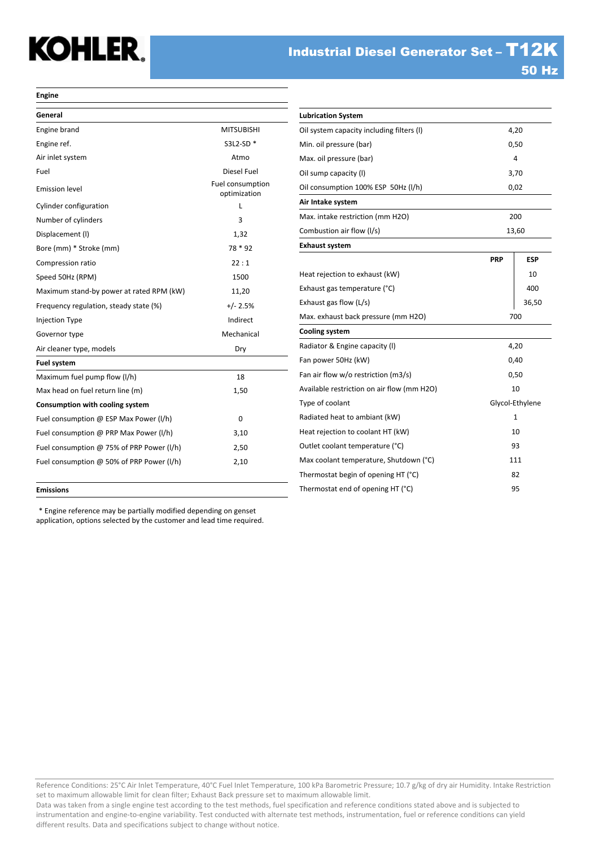#### **Engine**

| General                                   |                                  |
|-------------------------------------------|----------------------------------|
| Engine brand                              | <b>MITSUBISHI</b>                |
| Engine ref.                               | S3L2-SD *                        |
| Air inlet system                          | Atmo                             |
| Fuel                                      | Diesel Fuel                      |
| <b>Emission level</b>                     | Fuel consumption<br>optimization |
| Cylinder configuration                    | L                                |
| Number of cylinders                       | 3                                |
| Displacement (I)                          | 1,32                             |
| Bore (mm) * Stroke (mm)                   | 78 * 92                          |
| Compression ratio                         | 22:1                             |
| Speed 50Hz (RPM)                          | 1500                             |
| Maximum stand-by power at rated RPM (kW)  | 11,20                            |
| Frequency regulation, steady state (%)    | $+/- 2.5%$                       |
| Injection Type                            | Indirect                         |
| Governor type                             | Mechanical                       |
| Air cleaner type, models                  | Dry                              |
| <b>Fuel system</b>                        |                                  |
| Maximum fuel pump flow (I/h)              | 18                               |
| Max head on fuel return line (m)          | 1,50                             |
| Consumption with cooling system           |                                  |
| Fuel consumption @ ESP Max Power (I/h)    | 0                                |
| Fuel consumption @ PRP Max Power (I/h)    | 3,10                             |
| Fuel consumption @ 75% of PRP Power (I/h) | 2,50                             |
| Fuel consumption @ 50% of PRP Power (I/h) | 2,10                             |
|                                           |                                  |

| <b>Lubrication System</b>                  |            |                 |
|--------------------------------------------|------------|-----------------|
| Oil system capacity including filters (I)  |            | 4,20            |
| Min. oil pressure (bar)                    |            | 0,50            |
| Max. oil pressure (bar)                    |            | 4               |
| Oil sump capacity (I)                      |            | 3,70            |
| Oil consumption 100% ESP 50Hz (I/h)        |            | 0,02            |
| Air Intake system                          |            |                 |
| Max. intake restriction (mm H2O)           |            | 200             |
| Combustion air flow (I/s)                  |            | 13,60           |
| <b>Exhaust system</b>                      |            |                 |
|                                            | <b>PRP</b> | ESP             |
| Heat rejection to exhaust (kW)             |            | 10              |
| Exhaust gas temperature (°C)               |            | 400             |
| Exhaust gas flow (L/s)                     |            | 36,50           |
| Max. exhaust back pressure (mm H2O)        |            | 700             |
| <b>Cooling system</b>                      |            |                 |
| Radiator & Engine capacity (I)             |            | 4,20            |
| Fan power 50Hz (kW)                        |            | 0,40            |
| Fan air flow w/o restriction (m3/s)        |            | 0,50            |
| Available restriction on air flow (mm H2O) |            | 10              |
| Type of coolant                            |            | Glycol-Ethylene |
| Radiated heat to ambiant (kW)              |            | $\mathbf{1}$    |
| Heat rejection to coolant HT (kW)          |            | 10              |
| Outlet coolant temperature (°C)            | 93         |                 |
| Max coolant temperature, Shutdown (°C)     | 111        |                 |
| Thermostat begin of opening HT (°C)        |            | 82              |
| Thermostat end of opening HT (°C)          |            | 95              |

#### **Emissions**

\* Engine reference may be partially modified depending on genset application, options selected by the customer and lead time required.

Reference Conditions: 25°C Air Inlet Temperature, 40°C Fuel Inlet Temperature, 100 kPa Barometric Pressure; 10.7 g/kg of dry air Humidity. Intake Restriction set to maximum allowable limit for clean filter; Exhaust Back pressure set to maximum allowable limit.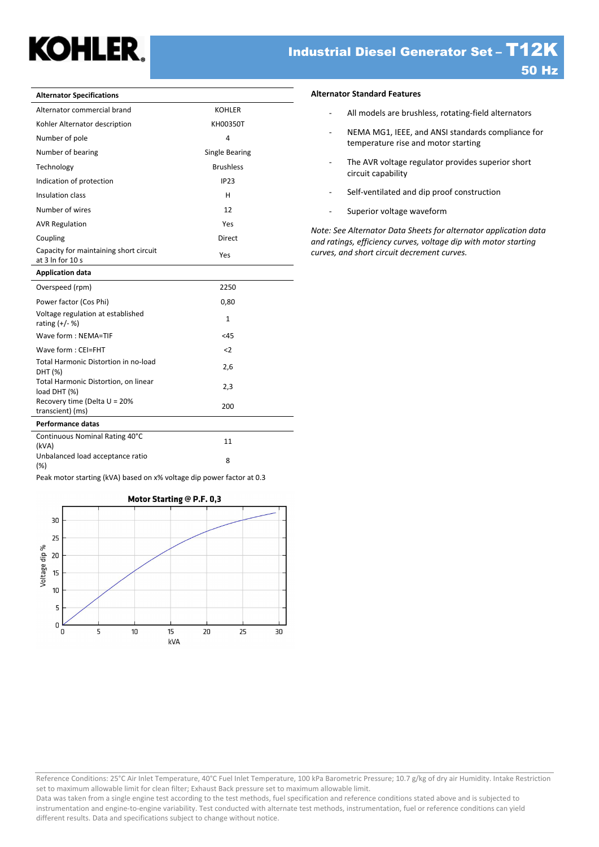## Industrial Diesel Generator Set – T12K 50 Hz

| <b>Alternator Specifications</b>                                        |                       |
|-------------------------------------------------------------------------|-----------------------|
| Alternator commercial brand                                             | <b>KOHLER</b>         |
| Kohler Alternator description                                           | KH00350T              |
| Number of pole                                                          | 4                     |
| Number of bearing                                                       | <b>Single Bearing</b> |
| Technology                                                              | <b>Brushless</b>      |
| Indication of protection                                                | <b>IP23</b>           |
| Insulation class                                                        | н                     |
| Number of wires                                                         | 12                    |
| <b>AVR Regulation</b>                                                   | Yes                   |
| Coupling                                                                | Direct                |
| Capacity for maintaining short circuit<br>at $3 \ln$ for $10 \text{ s}$ | Yes                   |
| <b>Application data</b>                                                 |                       |
| Overspeed (rpm)                                                         | 2250                  |
| Power factor (Cos Phi)                                                  | 0,80                  |
| Voltage regulation at established<br>rating $(+/- %)$                   | 1                     |
| Wave form : NEMA=TIF                                                    | < 45                  |
| Wave form: CEI=FHT                                                      | $\leq$                |
| Total Harmonic Distortion in no-load<br>DHT (%)                         | 2,6                   |
| Total Harmonic Distortion, on linear<br>load DHT (%)                    | 2,3                   |
| Recovery time (Delta U = 20%<br>transcient) (ms)                        | 200                   |
| <b>Performance datas</b>                                                |                       |

### **Alternator Standard Features**

- All models are brushless, rotating-field alternators
- NEMA MG1, IEEE, and ANSI standards compliance for temperature rise and motor starting
- The AVR voltage regulator provides superior short circuit capability
- Self-ventilated and dip proof construction
- Superior voltage waveform

*Note: See Alternator Data Sheets for alternator application data and ratings, efficiency curves, voltage dip with motor starting curves, and short circuit decrement curves.*

| Peak motor starting (kVA) based on x% voltage dip power factor at 0.3 |  |  |
|-----------------------------------------------------------------------|--|--|

Continuous Nominal Rating 40°C (kVA) <sup>11</sup> Unbalanced load acceptance ratio (%) <sup>8</sup>



Reference Conditions: 25°C Air Inlet Temperature, 40°C Fuel Inlet Temperature, 100 kPa Barometric Pressure; 10.7 g/kg of dry air Humidity. Intake Restriction set to maximum allowable limit for clean filter; Exhaust Back pressure set to maximum allowable limit.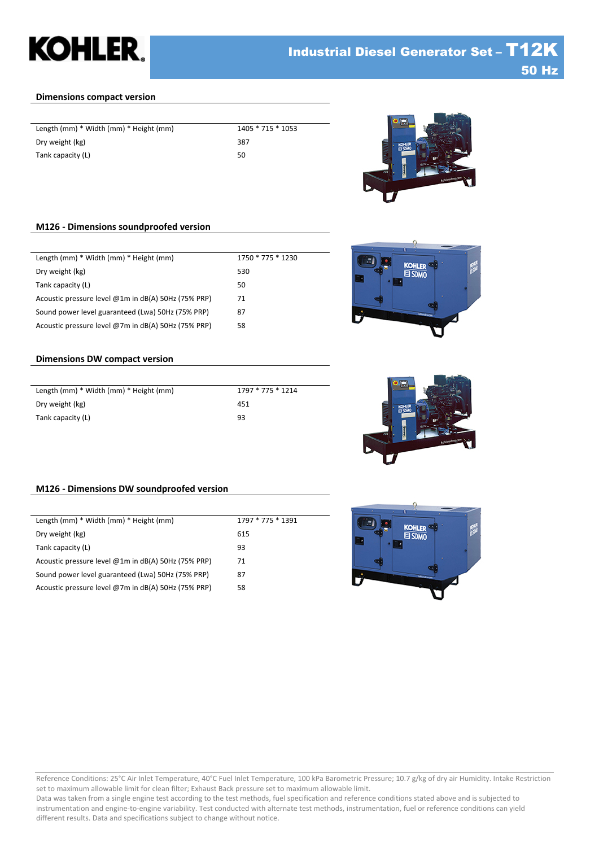## **Dimensions compact version**

| Length (mm) * Width (mm) * Height (mm) | 140 |
|----------------------------------------|-----|
| Dry weight (kg)                        | 387 |
| Tank capacity (L)                      | 50  |
|                                        |     |

 $\overline{1405 * 715 * 1053}$ 



**KOHLER**  $B$  SN $\mu$ 

## **M126 - Dimensions soundproofed version**

| Length (mm) * Width (mm) * Height (mm)              | 1750 * 775 * 1230 |
|-----------------------------------------------------|-------------------|
| Dry weight (kg)                                     | 530               |
| Tank capacity (L)                                   | 50                |
| Acoustic pressure level @1m in dB(A) 50Hz (75% PRP) | 71                |
| Sound power level guaranteed (Lwa) 50Hz (75% PRP)   | 87                |
| Acoustic pressure level @7m in dB(A) 50Hz (75% PRP) | 58                |

## **Dimensions DW compact version**

| Length (mm) * Width (mm) * Height (mm) | 1797 * 775 * 1214 |
|----------------------------------------|-------------------|
| Dry weight (kg)                        | 451               |
| Tank capacity (L)                      | 93                |



## **M126 - Dimensions DW soundproofed version**

| Length (mm) * Width (mm) * Height (mm)                | 1797 * 775 * 1391 |
|-------------------------------------------------------|-------------------|
| Dry weight (kg)                                       | 615               |
| Tank capacity (L)                                     | 93                |
| Acoustic pressure level $@1m$ in dB(A) 50Hz (75% PRP) | 71                |
| Sound power level guaranteed (Lwa) 50Hz (75% PRP)     | 87                |
| Acoustic pressure level @7m in $dB(A)$ 50Hz (75% PRP) | 58                |
|                                                       |                   |



#### Reference Conditions: 25°C Air Inlet Temperature, 40°C Fuel Inlet Temperature, 100 kPa Barometric Pressure; 10.7 g/kg of dry air Humidity. Intake Restriction set to maximum allowable limit for clean filter; Exhaust Back pressure set to maximum allowable limit.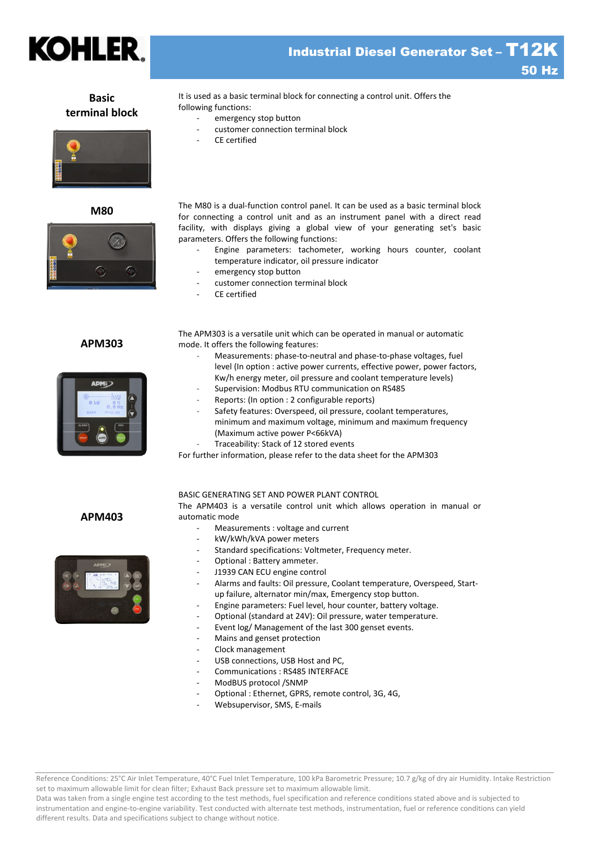

## **Basic terminal block**





## **APM303**



It is used as a basic terminal block for connecting a control unit. Offers the following functions:

- emergency stop button
- customer connection terminal block
- CE certified

**M80** The M80 is a dual-function control panel. It can be used as a basic terminal block for connecting a control unit and as an instrument panel with a direct read facility, with displays giving a global view of your generating set's basic parameters. Offers the following functions:

- Engine parameters: tachometer, working hours counter, coolant temperature indicator, oil pressure indicator
- emergency stop button
- customer connection terminal block
- CE certified

The APM303 is a versatile unit which can be operated in manual or automatic mode. It offers the following features:

- Measurements: phase-to-neutral and phase-to-phase voltages, fuel level (In option : active power currents, effective power, power factors, Kw/h energy meter, oil pressure and coolant temperature levels)
- Supervision: Modbus RTU communication on RS485
- Reports: (In option : 2 configurable reports)
- Safety features: Overspeed, oil pressure, coolant temperatures, minimum and maximum voltage, minimum and maximum frequency (Maximum active power P<66kVA)
- Traceability: Stack of 12 stored events

For further information, please refer to the data sheet for the APM303

## **APM403**



#### BASIC GENERATING SET AND POWER PLANT CONTROL

The APM403 is a versatile control unit which allows operation in manual or automatic mode

- Measurements : voltage and current
- kW/kWh/kVA power meters
- Standard specifications: Voltmeter, Frequency meter.
- Optional : Battery ammeter.
- J1939 CAN ECU engine control
- Alarms and faults: Oil pressure, Coolant temperature, Overspeed, Startup failure, alternator min/max, Emergency stop button.
- Engine parameters: Fuel level, hour counter, battery voltage.
- Optional (standard at 24V): Oil pressure, water temperature.
- Event log/ Management of the last 300 genset events.
- Mains and genset protection
- Clock management
- USB connections, USB Host and PC,
- Communications : RS485 INTERFACE
- ModBUS protocol /SNMP
- Optional : Ethernet, GPRS, remote control, 3G, 4G,
- Websupervisor, SMS, E-mails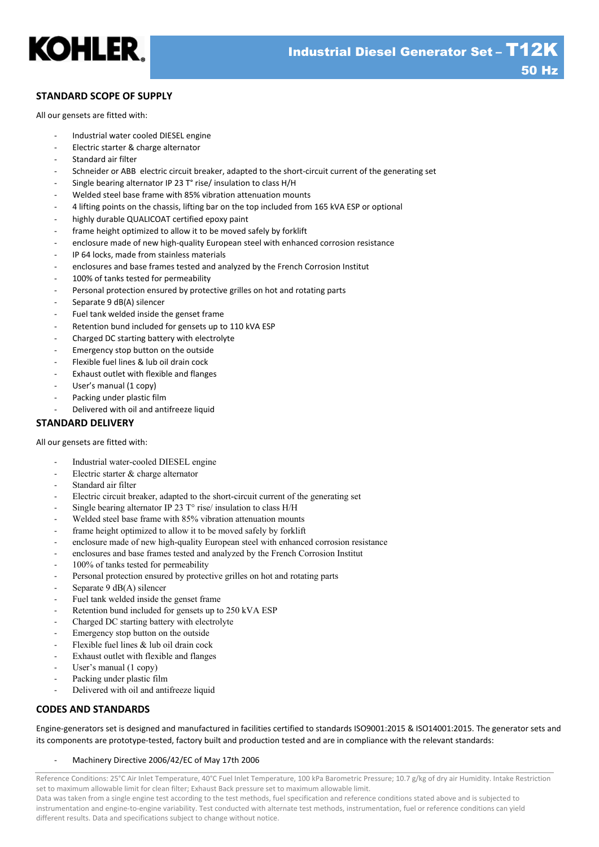

## **STANDARD SCOPE OF SUPPLY**

All our gensets are fitted with:

- Industrial water cooled DIESEL engine
- Electric starter & charge alternator
- Standard air filter
- Schneider or ABB electric circuit breaker, adapted to the short-circuit current of the generating set
- Single bearing alternator IP 23 T° rise/ insulation to class H/H
- Welded steel base frame with 85% vibration attenuation mounts
- 4 lifting points on the chassis, lifting bar on the top included from 165 kVA ESP or optional
- highly durable QUALICOAT certified epoxy paint
- frame height optimized to allow it to be moved safely by forklift
- enclosure made of new high-quality European steel with enhanced corrosion resistance
- IP 64 locks, made from stainless materials
- enclosures and base frames tested and analyzed by the French Corrosion Institut
- 100% of tanks tested for permeability
- Personal protection ensured by protective grilles on hot and rotating parts
- Separate 9 dB(A) silencer
- Fuel tank welded inside the genset frame
- Retention bund included for gensets up to 110 kVA ESP
- Charged DC starting battery with electrolyte
- Emergency stop button on the outside
- Flexible fuel lines & lub oil drain cock
- Exhaust outlet with flexible and flanges
- User's manual (1 copy)
- Packing under plastic film
- Delivered with oil and antifreeze liquid

## **STANDARD DELIVERY**

All our gensets are fitted with:

- Industrial water-cooled DIESEL engine
- Electric starter & charge alternator
- Standard air filter
- Electric circuit breaker, adapted to the short-circuit current of the generating set
- Single bearing alternator IP 23  $T^{\circ}$  rise/ insulation to class H/H
- Welded steel base frame with 85% vibration attenuation mounts
- frame height optimized to allow it to be moved safely by forklift
- enclosure made of new high-quality European steel with enhanced corrosion resistance
- enclosures and base frames tested and analyzed by the French Corrosion Institut
- 100% of tanks tested for permeability
- Personal protection ensured by protective grilles on hot and rotating parts
- Separate 9 dB(A) silencer
- Fuel tank welded inside the genset frame
- Retention bund included for gensets up to 250 kVA ESP
- Charged DC starting battery with electrolyte
- Emergency stop button on the outside
- Flexible fuel lines  $\&$  lub oil drain cock
- Exhaust outlet with flexible and flanges
- User's manual (1 copy)
- Packing under plastic film
- Delivered with oil and antifreeze liquid

## **CODES AND STANDARDS**

Engine-generators set is designed and manufactured in facilities certified to standards ISO9001:2015 & ISO14001:2015. The generator sets and its components are prototype-tested, factory built and production tested and are in compliance with the relevant standards:

### Machinery Directive 2006/42/EC of May 17th 2006

Reference Conditions: 25°C Air Inlet Temperature, 40°C Fuel Inlet Temperature, 100 kPa Barometric Pressure; 10.7 g/kg of dry air Humidity. Intake Restriction set to maximum allowable limit for clean filter; Exhaust Back pressure set to maximum allowable limit.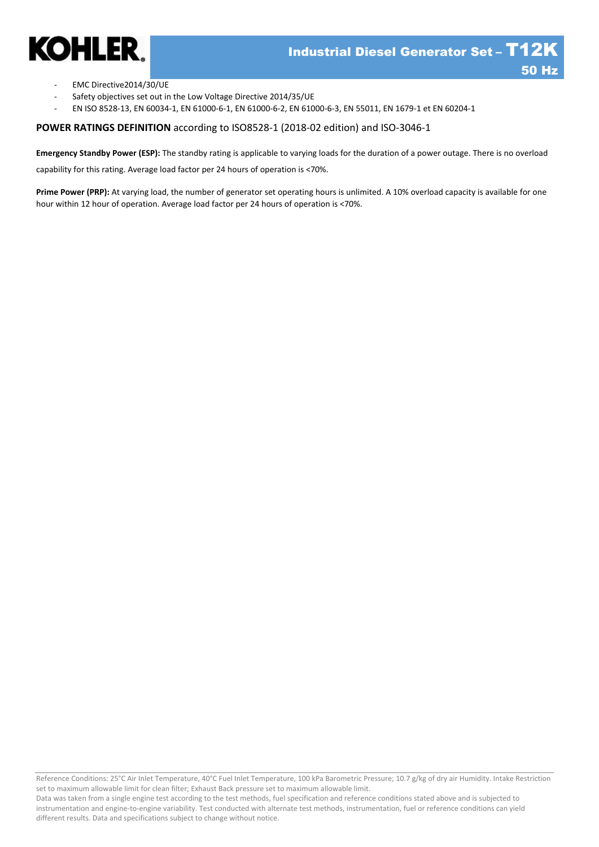

- EMC Directive2014/30/UE
- Safety objectives set out in the Low Voltage Directive 2014/35/UE
- EN ISO 8528-13, EN 60034-1, EN 61000-6-1, EN 61000-6-2, EN 61000-6-3, EN 55011, EN 1679-1 et EN 60204-1

**POWER RATINGS DEFINITION** according to ISO8528-1 (2018-02 edition) and ISO-3046-1

**Emergency Standby Power (ESP):** The standby rating is applicable to varying loads for the duration of a power outage. There is no overload

capability for this rating. Average load factor per 24 hours of operation is <70%.

**Prime Power (PRP):** At varying load, the number of generator set operating hours is unlimited. A 10% overload capacity is available for one hour within 12 hour of operation. Average load factor per 24 hours of operation is <70%.

Reference Conditions: 25°C Air Inlet Temperature, 40°C Fuel Inlet Temperature, 100 kPa Barometric Pressure; 10.7 g/kg of dry air Humidity. Intake Restriction set to maximum allowable limit for clean filter; Exhaust Back pressure set to maximum allowable limit.